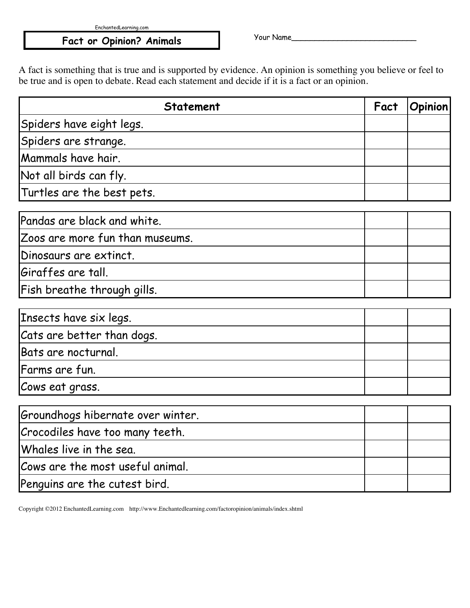EnchantedLearning.com

## Fact or Opinion? Animals and Mour Name\_

A fact is something that is true and is supported by evidence. An opinion is something you believe or feel to be true and is open to debate. Read each statement and decide if it is a fact or an opinion.

| <b>Statement</b>                  | Fact | <b>Opinion</b> |
|-----------------------------------|------|----------------|
| Spiders have eight legs.          |      |                |
| Spiders are strange.              |      |                |
| Mammals have hair.                |      |                |
| Not all birds can fly.            |      |                |
| Turtles are the best pets.        |      |                |
| Pandas are black and white.       |      |                |
| Zoos are more fun than museums.   |      |                |
| Dinosaurs are extinct.            |      |                |
| Giraffes are tall.                |      |                |
| Fish breathe through gills.       |      |                |
| Insects have six legs.            |      |                |
| Cats are better than dogs.        |      |                |
| Bats are nocturnal.               |      |                |
| Farms are fun.                    |      |                |
| Cows eat grass.                   |      |                |
| Groundhogs hibernate over winter. |      |                |
| Crocodiles have too many teeth.   |      |                |
| Whales live in the sea.           |      |                |
| Cows are the most useful animal.  |      |                |
| Penguins are the cutest bird.     |      |                |

Copyright ©2012 EnchantedLearning.com http://www.Enchantedlearning.com/factoropinion/animals/index.shtml